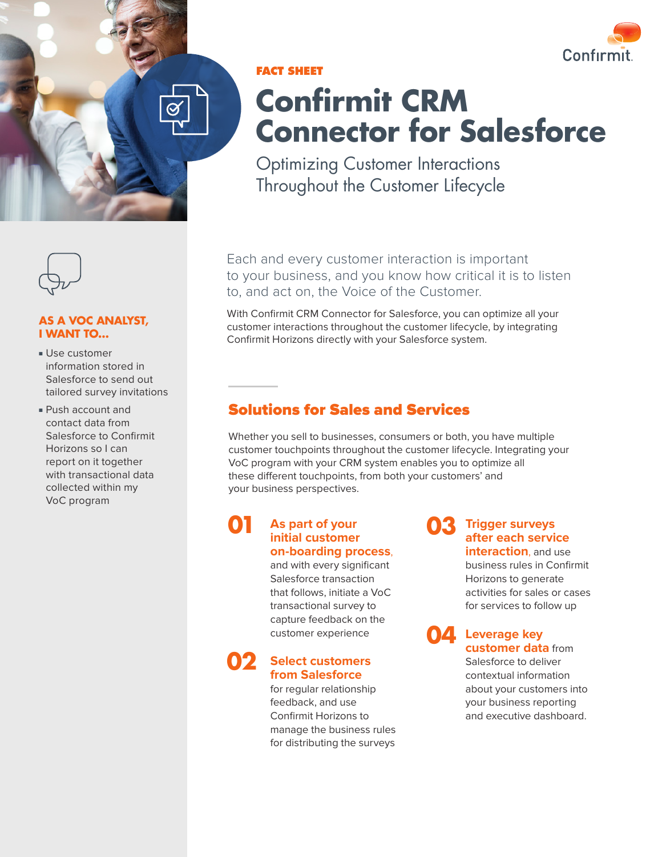



### **FACT SHEET**

# **Confirmit CRM Connector for Salesforce**

Optimizing Customer Interactions Throughout the Customer Lifecycle

Each and every customer interaction is important to your business, and you know how critical it is to listen to, and act on, the Voice of the Customer.

With Confirmit CRM Connector for Salesforce, you can optimize all your customer interactions throughout the customer lifecycle, by integrating Confirmit Horizons directly with your Salesforce system.

## Solutions for Sales and Services

Whether you sell to businesses, consumers or both, you have multiple customer touchpoints throughout the customer lifecycle. Integrating your VoC program with your CRM system enables you to optimize all these different touchpoints, from both your customers' and your business perspectives.

### **As part of your initial customer on-boarding process**, **01**

and with every significant Salesforce transaction that follows, initiate a VoC transactional survey to capture feedback on the customer experience

#### **Select customers from Salesforce 02**

for regular relationship feedback, and use Confirmit Horizons to manage the business rules for distributing the surveys

#### **Trigger surveys after each service interaction**, and use **03**

business rules in Confirmit Horizons to generate activities for sales or cases for services to follow up

**Leverage key 04 customer data** from Salesforce to deliver contextual information about your customers into your business reporting and executive dashboard.



### **AS A VOC ANALYST, I WANT TO…**

- Use customer information stored in Salesforce to send out tailored survey invitations
- Push account and contact data from Salesforce to Confirmit Horizons so I can report on it together with transactional data collected within my VoC program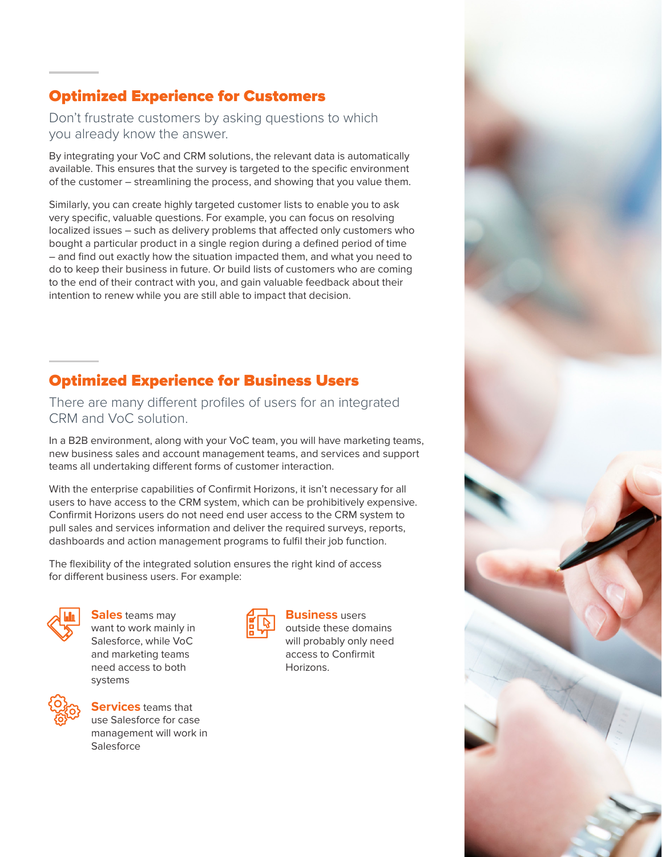## Optimized Experience for Customers

Don't frustrate customers by asking questions to which you already know the answer.

By integrating your VoC and CRM solutions, the relevant data is automatically available. This ensures that the survey is targeted to the specific environment of the customer – streamlining the process, and showing that you value them.

Similarly, you can create highly targeted customer lists to enable you to ask very specific, valuable questions. For example, you can focus on resolving localized issues – such as delivery problems that affected only customers who bought a particular product in a single region during a defined period of time – and find out exactly how the situation impacted them, and what you need to do to keep their business in future. Or build lists of customers who are coming to the end of their contract with you, and gain valuable feedback about their intention to renew while you are still able to impact that decision.

## Optimized Experience for Business Users

There are many different profiles of users for an integrated CRM and VoC solution.

In a B2B environment, along with your VoC team, you will have marketing teams, new business sales and account management teams, and services and support teams all undertaking different forms of customer interaction.

With the enterprise capabilities of Confirmit Horizons, it isn't necessary for all users to have access to the CRM system, which can be prohibitively expensive. Confirmit Horizons users do not need end user access to the CRM system to pull sales and services information and deliver the required surveys, reports, dashboards and action management programs to fulfil their job function.

The flexibility of the integrated solution ensures the right kind of access for different business users. For example:



**Sales** teams may want to work mainly in Salesforce, while VoC and marketing teams need access to both systems



**Services** teams that use Salesforce for case management will work in Salesforce



### **Business** users

outside these domains will probably only need access to Confirmit Horizons.

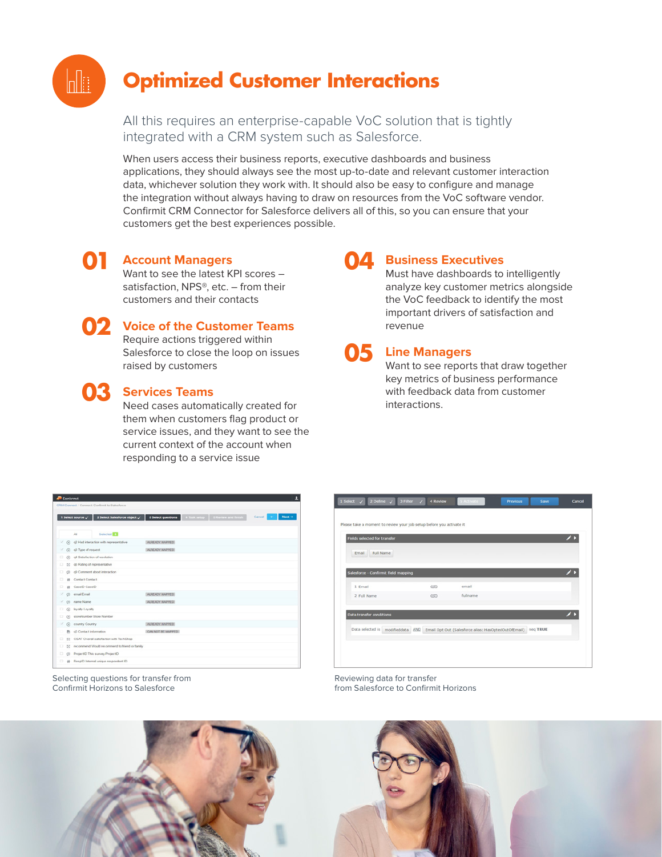# **Optimized Customer Interactions**

All this requires an enterprise-capable VoC solution that is tightly integrated with a CRM system such as Salesforce.

When users access their business reports, executive dashboards and business applications, they should always see the most up-to-date and relevant customer interaction data, whichever solution they work with. It should also be easy to configure and manage the integration without always having to draw on resources from the VoC software vendor. Confirmit CRM Connector for Salesforce delivers all of this, so you can ensure that your customers get the best experiences possible.

### **Account Managers 01**

Want to see the latest KPI scores – satisfaction, NPS®, etc. - from their customers and their contacts



 $\mathbb{H}$ 

# **Voice of the Customer Teams 02**

Require actions triggered within Salesforce to close the loop on issues raised by customers

# **Services Teams 03**

Need cases automatically created for them when customers flag product or service issues, and they want to see the current context of the account when responding to a service issue

### **Business Executives 04**

Must have dashboards to intelligently analyze key customer metrics alongside the VoC feedback to identify the most important drivers of satisfaction and revenue



Want to see reports that draw together key metrics of business performance with feedback data from customer interactions.

|    |                               | Confirmit.                                       | CRIA Connect / Connect: Confirmit to Salesforce                                                    |                   |  |  |        | ı      |
|----|-------------------------------|--------------------------------------------------|----------------------------------------------------------------------------------------------------|-------------------|--|--|--------|--------|
|    |                               |                                                  | 1 Select source / 2 Select Salesforce object / 3 Select questions 4 Task setup 5 Review and finish |                   |  |  | Cancel | Next-i |
|    |                               | All                                              | Selected 3                                                                                         |                   |  |  |        |        |
|    |                               |                                                  | $\le$ $\odot$ $\,$ q2 Had interaction with representative                                          | ALREADY MAPPED    |  |  |        |        |
| ×. |                               | (c) g3 Type of request                           |                                                                                                    | ALREADY MAPPED    |  |  |        |        |
|    |                               | (b) q4 Satisfaction of resolution                |                                                                                                    |                   |  |  |        |        |
| ۰  |                               | 53 g6 Rating of representative                   |                                                                                                    |                   |  |  |        |        |
| о. | @ @ Comment about interaction |                                                  |                                                                                                    |                   |  |  |        |        |
| ۰  |                               | <b>III</b> Contact Contact                       |                                                                                                    |                   |  |  |        |        |
|    |                               | # CaselD CaselD                                  |                                                                                                    |                   |  |  |        |        |
|    |                               | √ © email Email                                  |                                                                                                    | ALREADY MAPPED    |  |  |        |        |
|    |                               | < (ii) name Name                                 |                                                                                                    | ALREADY MAPPED    |  |  |        |        |
| O. |                               | @ loyalty Loyalty                                |                                                                                                    |                   |  |  |        |        |
|    |                               | (c) storeNumber Store Number                     |                                                                                                    |                   |  |  |        |        |
|    |                               | C country Country                                |                                                                                                    | ALREADY MAPPED    |  |  |        |        |
|    |                               | Et q5 Contact information                        |                                                                                                    | CAN NOT BE MAPPED |  |  |        |        |
|    |                               |                                                  | 52 OSAT Overall satisfaction with TechShop                                                         |                   |  |  |        |        |
| o. |                               | 53 recommend Would recommend to friend or family |                                                                                                    |                   |  |  |        |        |
| ۰  |                               |                                                  | C ProjectID This survey ProjectID                                                                  |                   |  |  |        |        |
| ۰  |                               |                                                  | # ResplD Internal unique respondent ID                                                             |                   |  |  |        |        |



Selecting questions for transfer from Confirmit Horizons to Salesforce

Reviewing data for transfer from Salesforce to Confirmit Horizons